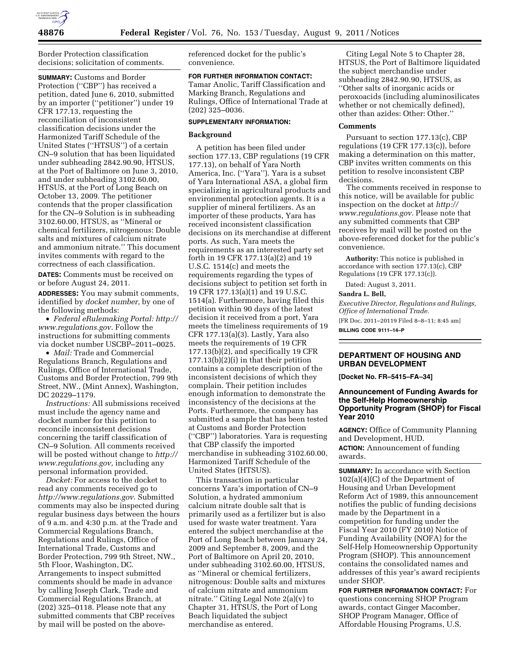

Border Protection classification decisions; solicitation of comments.

**SUMMARY:** Customs and Border Protection (''CBP'') has received a petition, dated June 6, 2010, submitted by an importer (''petitioner'') under 19 CFR 177.13, requesting the reconciliation of inconsistent classification decisions under the Harmonized Tariff Schedule of the United States (''HTSUS'') of a certain CN–9 solution that has been liquidated under subheading 2842.90.90, HTSUS, at the Port of Baltimore on June 3, 2010, and under subheading 3102.60.00, HTSUS, at the Port of Long Beach on October 13, 2009. The petitioner contends that the proper classification for the CN–9 Solution is in subheading 3102.60.00, HTSUS, as ''Mineral or chemical fertilizers, nitrogenous: Double salts and mixtures of calcium nitrate and ammonium nitrate.'' This document invites comments with regard to the correctness of each classification.

**DATES:** Comments must be received on or before August 24, 2011.

**ADDRESSES:** You may submit comments, identified by *docket number,* by one of the following methods:

• *Federal eRulemaking Portal: [http://](http://www.regulations.gov)  [www.regulations.gov](http://www.regulations.gov)*. Follow the instructions for submitting comments via docket number USCBP–2011–0025.

• *Mail:* Trade and Commercial Regulations Branch, Regulations and Rulings, Office of International Trade, Customs and Border Protection, 799 9th Street, NW., (Mint Annex), Washington, DC 20229–1179.

*Instructions:* All submissions received must include the agency name and docket number for this petition to reconcile inconsistent decisions concerning the tariff classification of CN–9 Solution. All comments received will be posted without change to *[http://](http://www.regulations.gov) [www.regulations.gov,](http://www.regulations.gov)* including any personal information provided.

*Docket:* For access to the docket to read any comments received go to *<http://www.regulations.gov>*. Submitted comments may also be inspected during regular business days between the hours of 9 a.m. and 4:30 p.m. at the Trade and Commercial Regulations Branch, Regulations and Rulings, Office of International Trade, Customs and Border Protection, 799 9th Street, NW., 5th Floor, Washington, DC. Arrangements to inspect submitted comments should be made in advance by calling Joseph Clark, Trade and Commercial Regulations Branch, at (202) 325–0118. Please note that any submitted comments that CBP receives by mail will be posted on the abovereferenced docket for the public's convenience.

# **FOR FURTHER INFORMATION CONTACT:**

Tamar Anolic, Tariff Classification and Marking Branch, Regulations and Rulings, Office of International Trade at (202) 325–0036.

## **SUPPLEMENTARY INFORMATION:**

### **Background**

A petition has been filed under section 177.13, CBP regulations (19 CFR 177.13), on behalf of Yara North America, Inc. (''Yara''). Yara is a subset of Yara International ASA, a global firm specializing in agricultural products and environmental protection agents. It is a supplier of mineral fertilizers. As an importer of these products, Yara has received inconsistent classification decisions on its merchandise at different ports. As such, Yara meets the requirements as an interested party set forth in 19 CFR 177.13(a)(2) and 19 U.S.C. 1514(c) and meets the requirements regarding the types of decisions subject to petition set forth in 19 CFR 177.13(a)(1) and 19 U.S.C. 1514(a). Furthermore, having filed this petition within 90 days of the latest decision it received from a port, Yara meets the timeliness requirements of 19 CFR 177.13(a)(3). Lastly, Yara also meets the requirements of 19 CFR 177.13(b)(2), and specifically 19 CFR 177.13(b)(2)(i) in that their petition contains a complete description of the inconsistent decisions of which they complain. Their petition includes enough information to demonstrate the inconsistency of the decisions at the Ports. Furthermore, the company has submitted a sample that has been tested at Customs and Border Protection (''CBP'') laboratories. Yara is requesting that CBP classify the imported merchandise in subheading 3102.60.00, Harmonized Tariff Schedule of the United States (HTSUS).

This transaction in particular concerns Yara's importation of CN–9 Solution, a hydrated ammonium calcium nitrate double salt that is primarily used as a fertilizer but is also used for waste water treatment. Yara entered the subject merchandise at the Port of Long Beach between January 24, 2009 and September 8, 2009, and the Port of Baltimore on April 20, 2010, under subheading 3102.60.00, HTSUS, as ''Mineral or chemical fertilizers, nitrogenous: Double salts and mixtures of calcium nitrate and ammonium nitrate.'' Citing Legal Note 2(a)(v) to Chapter 31, HTSUS, the Port of Long Beach liquidated the subject merchandise as entered.

Citing Legal Note 5 to Chapter 28, HTSUS, the Port of Baltimore liquidated the subject merchandise under subheading 2842.90.90, HTSUS, as ''Other salts of inorganic acids or peroxoacids (including aluminosilicates whether or not chemically defined), other than azides: Other: Other.''

#### **Comments**

Pursuant to section 177.13(c), CBP regulations (19 CFR 177.13(c)), before making a determination on this matter, CBP invites written comments on this petition to resolve inconsistent CBP decisions.

The comments received in response to this notice, will be available for public inspection on the docket at *[http://](http://www.regulations.gov)  [www.regulations.gov](http://www.regulations.gov)*. Please note that any submitted comments that CBP receives by mail will be posted on the above-referenced docket for the public's convenience.

**Authority:** This notice is published in accordance with section 177.13(c), CBP Regulations (19 CFR 177.13(c)).

Dated: August 3, 2011.

## **Sandra L. Bell,**

*Executive Director, Regulations and Rulings, Office of International Trade.*  [FR Doc. 2011–20119 Filed 8–8–11; 8:45 am] **BILLING CODE 9111–14–P** 

#### **DEPARTMENT OF HOUSING AND URBAN DEVELOPMENT**

**[Docket No. FR–5415–FA–34]** 

## **Announcement of Funding Awards for the Self-Help Homeownership Opportunity Program (SHOP) for Fiscal Year 2010**

**AGENCY:** Office of Community Planning and Development, HUD. **ACTION:** Announcement of funding awards.

**SUMMARY:** In accordance with Section 102(a)(4)(C) of the Department of Housing and Urban Development Reform Act of 1989, this announcement notifies the public of funding decisions made by the Department in a competition for funding under the Fiscal Year 2010 (FY 2010) Notice of Funding Availability (NOFA) for the Self-Help Homeownership Opportunity Program (SHOP). This announcement contains the consolidated names and addresses of this year's award recipients under SHOP.

**FOR FURTHER INFORMATION CONTACT:** For questions concerning SHOP Program awards, contact Ginger Macomber, SHOP Program Manager, Office of Affordable Housing Programs, U.S.